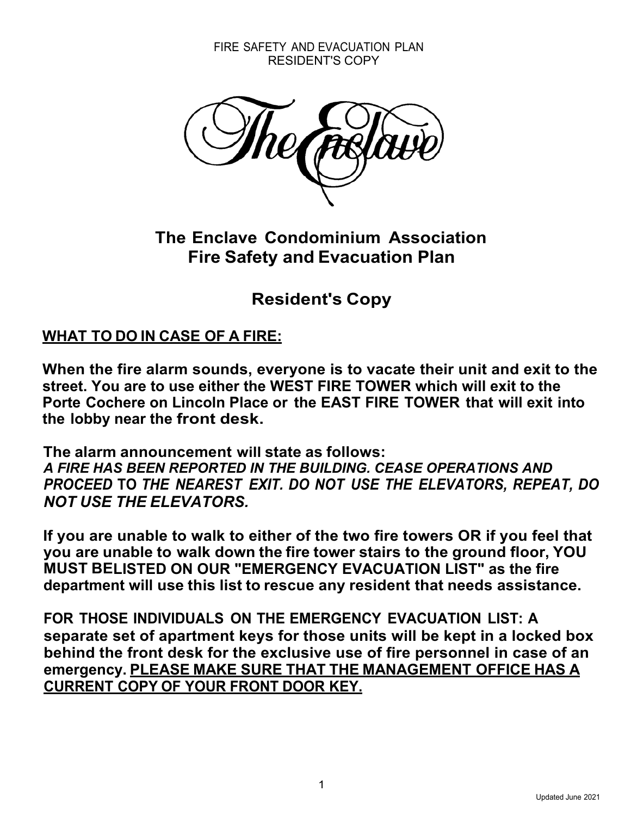FIRE SAFETY AND EVACUATION PLAN RESIDENT'S COPY



**The Enclave Condominium Association Fire Safety and Evacuation Plan**

**Resident's Copy**

# **WHAT TO DO IN CASE OF A FIRE:**

**When the fire alarm sounds, everyone is to vacate their unit and exit to the street. You are to use either the WEST FIRE TOWER which will exit to the Porte Cochere on Lincoln Place or the EAST FIRE TOWER that will exit into the lobby near the front desk.**

**The alarm announcement will state as follows:** *A FIRE HAS BEEN REPORTED IN THE BUILDING. CEASE OPERATIONS AND PROCEED* **TO** *THE NEAREST EXIT. DO NOT USE THE ELEVATORS, REPEAT, DO NOT USE THE ELEVATORS.*

**If you are unable to walk to either of the two fire towers OR if you feel that you are unable to walk down the fire tower stairs to the ground floor, YOU MUST BELISTED ON OUR "EMERGENCY EVACUATION LIST" as the fire department will use this list to rescue any resident that needs assistance.**

**FOR THOSE INDIVIDUALS ON THE EMERGENCY EVACUATION LIST: A separate set of apartment keys for those units will be kept in a locked box behind the front desk for the exclusive use of fire personnel in case of an emergency. PLEASE MAKE SURE THAT THE MANAGEMENT OFFICE HAS A CURRENT COPY OF YOUR FRONT DOOR KEY.**

1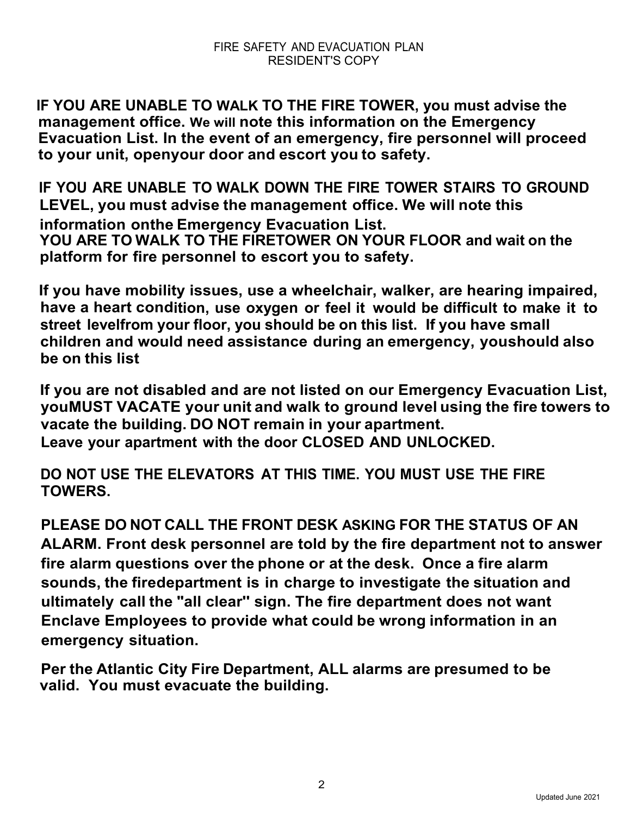**IF YOU ARE UNABLE TO WALK TO THE FIRE TOWER, you must advise the management office. We will note this information on the Emergency Evacuation List. In the event of an emergency, fire personnel will proceed to your unit, openyour door and escort you to safety.**

**IF YOU ARE UNABLE TO WALK DOWN THE FIRE TOWER STAIRS TO GROUND LEVEL, you must advise the management office. We will note this information onthe Emergency Evacuation List. YOU ARE TO WALK TO THE FIRETOWER ON YOUR FLOOR and wait on the platform for fire personnel to escort you to safety.**

**If you have mobility issues, use a wheelchair, walker, are hearing impaired, have a heart condition, use oxygen or feel it would be difficult to make it to street levelfrom your floor, you should be on this list. If you have small children and would need assistance during an emergency, youshould also be on this list**

**If you are not disabled and are not listed on our Emergency Evacuation List, youMUST VACATE your unit and walk to ground level using the fire towers to vacate the building. DO NOT remain in your apartment. Leave your apartment with the door CLOSED AND UNLOCKED.**

**DO NOT USE THE ELEVATORS AT THIS TIME. YOU MUST USE THE FIRE TOWERS.**

**PLEASE DO NOT CALL THE FRONT DESK ASKING FOR THE STATUS OF AN ALARM. Front desk personnel are told by the fire department not to answer fire alarm questions over the phone or at the desk. Once a fire alarm sounds, the firedepartment is in charge to investigate the situation and ultimately call the "all clear'' sign. The fire department does not want Enclave Employees to provide what could be wrong information in an emergency situation.**

**Per the Atlantic City Fire Department, ALL alarms are presumed to be valid. You must evacuate the building.**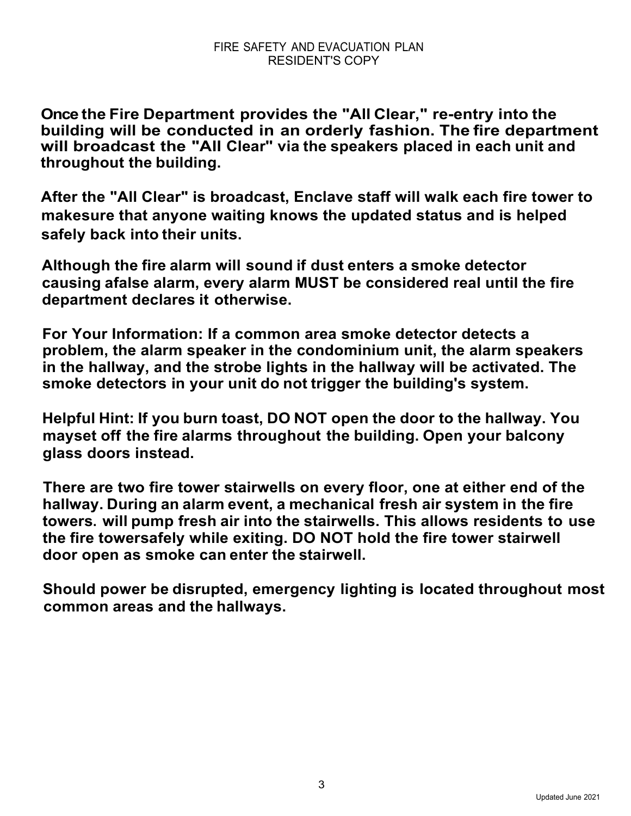**Once the Fire Department provides the "All Clear," re-entry into the building will be conducted in an orderly fashion. The fire department will broadcast the "All Clear'' via the speakers placed in each unit and throughout the building.**

**After the "All Clear" is broadcast, Enclave staff will walk each fire tower to makesure that anyone waiting knows the updated status and is helped safely back into their units.**

**Although the fire alarm will sound if dust enters a smoke detector causing afalse alarm, every alarm MUST be considered real until the fire department declares it otherwise.**

**For Your Information: If a common area smoke detector detects a problem, the alarm speaker in the condominium unit, the alarm speakers in the hallway, and the strobe lights in the hallway will be activated. The smoke detectors in your unit do not trigger the building's system.**

**Helpful Hint: If you burn toast, DO NOT open the door to the hallway. You mayset off the fire alarms throughout the building. Open your balcony glass doors instead.**

**There are two fire tower stairwells on every floor, one at either end of the hallway. During an alarm event, a mechanical fresh air system in the fire towers. will pump fresh air into the stairwells. This allows residents to use the fire towersafely while exiting. DO NOT hold the fire tower stairwell door open as smoke can enter the stairwell.**

**Should power be disrupted, emergency lighting is located throughout most common areas and the hallways.**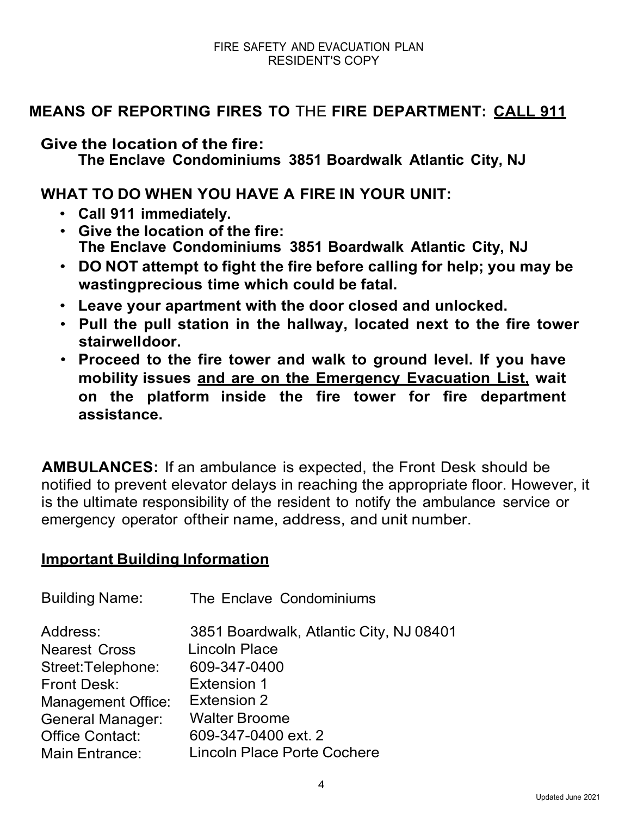# **MEANS OF REPORTING FIRES TO** THE **FIRE DEPARTMENT: CALL 911**

**Give the location of the fire:**

**The Enclave Condominiums 3851 Boardwalk Atlantic City, NJ**

**WHAT TO DO WHEN YOU HAVE A FIRE IN YOUR UNIT:**

- **Call 911 immediately.**
- **Give the location of the fire: The Enclave Condominiums 3851 Boardwalk Atlantic City, NJ**
- **DO NOT attempt to fight the fire before calling for help; you may be wastingprecious time which could be fatal.**
- **Leave your apartment with the door closed and unlocked.**
- **Pull the pull station in the hallway, located next to the fire tower stairwelldoor.**
- **Proceed to the fire tower and walk to ground level. If you have mobility issues and are on the Emergency Evacuation List, wait on the platform inside the fire tower for fire department assistance.**

 **AMBULANCES:** If an ambulance is expected, the Front Desk should be notified to prevent elevator delays in reaching the appropriate floor. However, it is the ultimate responsibility of the resident to notify the ambulance service or emergency operator oftheir name, address, and unit number.

## **Important Building Information**

| <b>Building Name:</b>     | The Enclave Condominiums                |
|---------------------------|-----------------------------------------|
| Address:                  | 3851 Boardwalk, Atlantic City, NJ 08401 |
| <b>Nearest Cross</b>      | <b>Lincoln Place</b>                    |
| Street:Telephone:         | 609-347-0400                            |
| <b>Front Desk:</b>        | <b>Extension 1</b>                      |
| <b>Management Office:</b> | Extension 2                             |
| <b>General Manager:</b>   | <b>Walter Broome</b>                    |
| <b>Office Contact:</b>    | 609-347-0400 ext. 2                     |
| <b>Main Entrance:</b>     | <b>Lincoln Place Porte Cochere</b>      |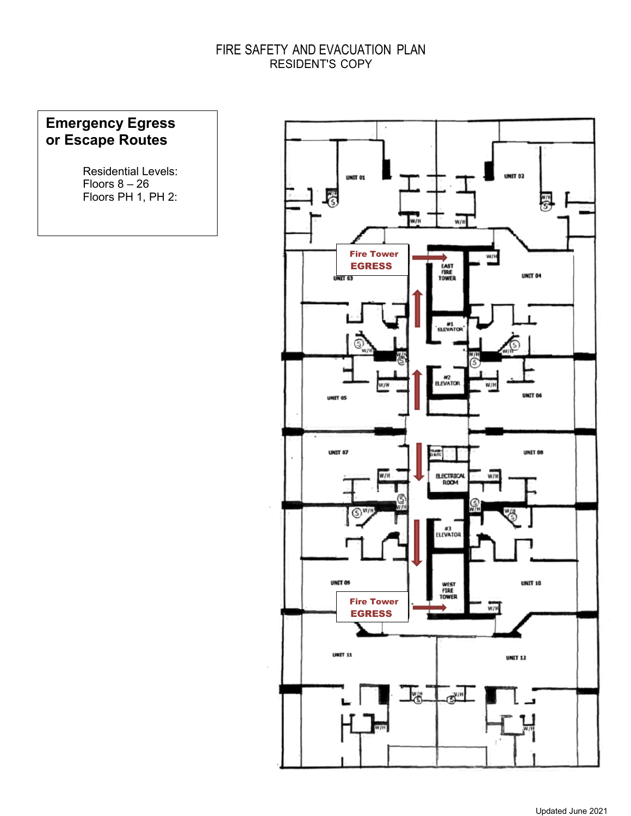#### FIRE SAFETY AND EVACUATION PLAN RESIDENT'S COPY

## **Emergency Egress or Escape Routes**

Residential Levels: Floors  $8 - 26$ Floors PH 1, PH 2: